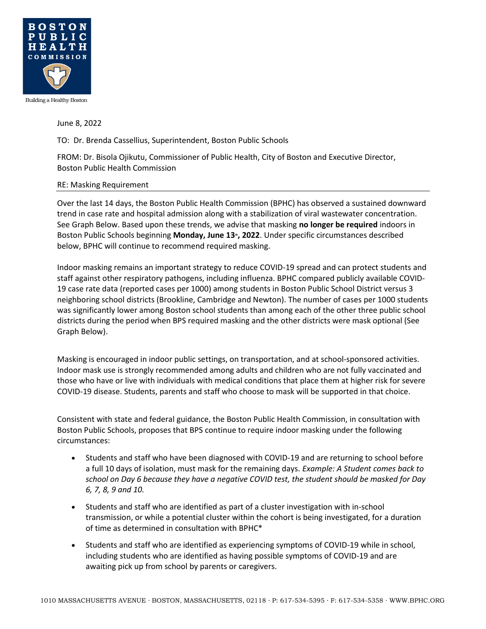

## June 8, 2022

TO: Dr. Brenda Cassellius, Superintendent, Boston Public Schools

FROM: Dr. Bisola Ojikutu, Commissioner of Public Health, City of Boston and Executive Director, Boston Public Health Commission

## RE: Masking Requirement

Over the last 14 days, the Boston Public Health Commission (BPHC) has observed a sustained downward trend in case rate and hospital admission along with a stabilization of viral wastewater concentration. See Graph Below. Based upon these trends, we advise that masking **no longer be required** indoors in Boston Public Schools beginning **Monday, June 13th, 2022**. Under specific circumstances described below, BPHC will continue to recommend required masking.

Indoor masking remains an important strategy to reduce COVID-19 spread and can protect students and staff against other respiratory pathogens, including influenza. BPHC compared publicly available COVID-19 case rate data (reported cases per 1000) among students in Boston Public School District versus 3 neighboring school districts (Brookline, Cambridge and Newton). The number of cases per 1000 students was significantly lower among Boston school students than among each of the other three public school districts during the period when BPS required masking and the other districts were mask optional (See Graph Below).

Masking is encouraged in indoor public settings, on transportation, and at school-sponsored activities. Indoor mask use is strongly recommended among adults and children who are not fully vaccinated and those who have or live with individuals with medical conditions that place them at higher risk for severe COVID-19 disease. Students, parents and staff who choose to mask will be supported in that choice.

Consistent with state and federal guidance, the Boston Public Health Commission, in consultation with Boston Public Schools, proposes that BPS continue to require indoor masking under the following circumstances:

- Students and staff who have been diagnosed with COVID-19 and are returning to school before a full 10 days of isolation, must mask for the remaining days. *Example: A Student comes back to school on Day 6 because they have a negative COVID test, the student should be masked for Day 6, 7, 8, 9 and 10.*
- Students and staff who are identified as part of a cluster investigation with in-school transmission, or while a potential cluster within the cohort is being investigated, for a duration of time as determined in consultation with BPHC\*
- Students and staff who are identified as experiencing symptoms of COVID-19 while in school, including students who are identified as having possible symptoms of COVID-19 and are awaiting pick up from school by parents or caregivers.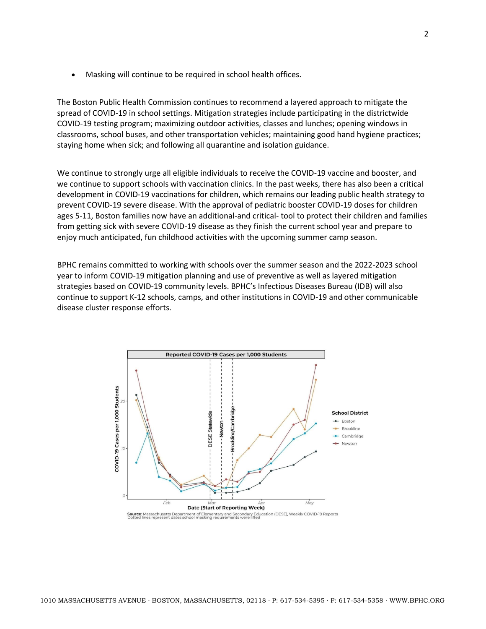Masking will continue to be required in school health offices.

The Boston Public Health Commission continues to recommend a layered approach to mitigate the spread of COVID-19 in school settings. Mitigation strategies include participating in the districtwide COVID-19 testing program; maximizing outdoor activities, classes and lunches; opening windows in classrooms, school buses, and other transportation vehicles; maintaining good hand hygiene practices; staying home when sick; and following all quarantine and isolation guidance.

We continue to strongly urge all eligible individuals to receive the COVID-19 vaccine and booster, and we continue to support schools with vaccination clinics. In the past weeks, there has also been a critical development in COVID-19 vaccinations for children, which remains our leading public health strategy to prevent COVID-19 severe disease. With the approval of pediatric booster COVID-19 doses for children ages 5-11, Boston families now have an additional-and critical- tool to protect their children and families from getting sick with severe COVID-19 disease as they finish the current school year and prepare to enjoy much anticipated, fun childhood activities with the upcoming summer camp season.

BPHC remains committed to working with schools over the summer season and the 2022-2023 school year to inform COVID-19 mitigation planning and use of preventive as well as layered mitigation strategies based on COVID-19 community levels. BPHC's Infectious Diseases Bureau (IDB) will also continue to support K-12 schools, camps, and other institutions in COVID-19 and other communicable disease cluster response efforts.